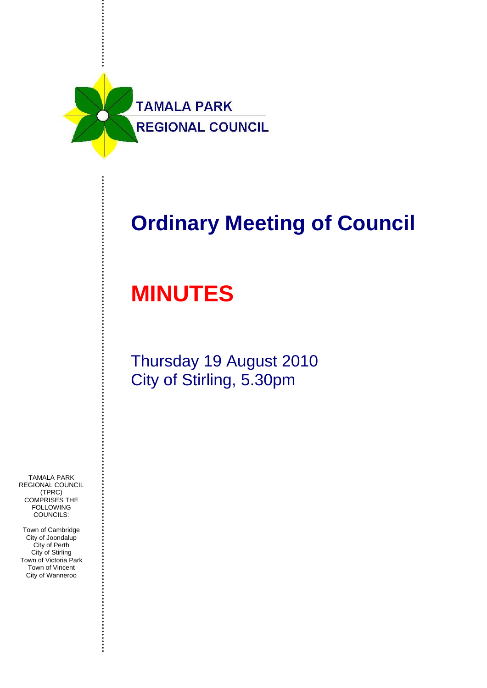

## **Ordinary Meeting of Council**

# **MINUTES**

Thursday 19 August 2010 City of Stirling, 5.30pm

TAMALA PARK REGIONAL COUNCIL (TPRC) COMPRISES THE **FOLLOWING** COUNCILS:

Town of Cambridge City of Joondalup City of Perth City of Stirling Town of Victoria Park Town of Vincent City of Wanneroo

....................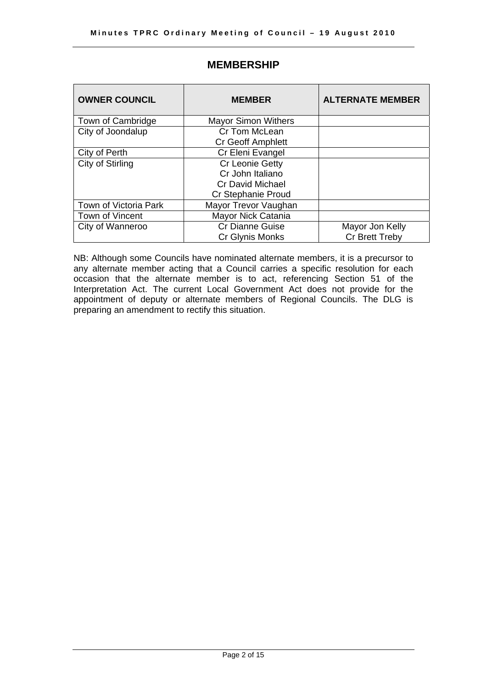| <b>OWNER COUNCIL</b>  | <b>MEMBER</b>              | <b>ALTERNATE MEMBER</b> |
|-----------------------|----------------------------|-------------------------|
| Town of Cambridge     | <b>Mayor Simon Withers</b> |                         |
| City of Joondalup     | Cr Tom McLean              |                         |
|                       | <b>Cr Geoff Amphlett</b>   |                         |
| City of Perth         | Cr Eleni Evangel           |                         |
| City of Stirling      | Cr Leonie Getty            |                         |
|                       | Cr John Italiano           |                         |
|                       | <b>Cr David Michael</b>    |                         |
|                       | Cr Stephanie Proud         |                         |
| Town of Victoria Park | Mayor Trevor Vaughan       |                         |
| Town of Vincent       | Mayor Nick Catania         |                         |
| City of Wanneroo      | <b>Cr Dianne Guise</b>     | Mayor Jon Kelly         |
|                       | Cr Glynis Monks            | Cr Brett Treby          |

### **MEMBERSHIP**

NB: Although some Councils have nominated alternate members, it is a precursor to any alternate member acting that a Council carries a specific resolution for each occasion that the alternate member is to act, referencing Section 51 of the Interpretation Act. The current Local Government Act does not provide for the appointment of deputy or alternate members of Regional Councils. The DLG is preparing an amendment to rectify this situation.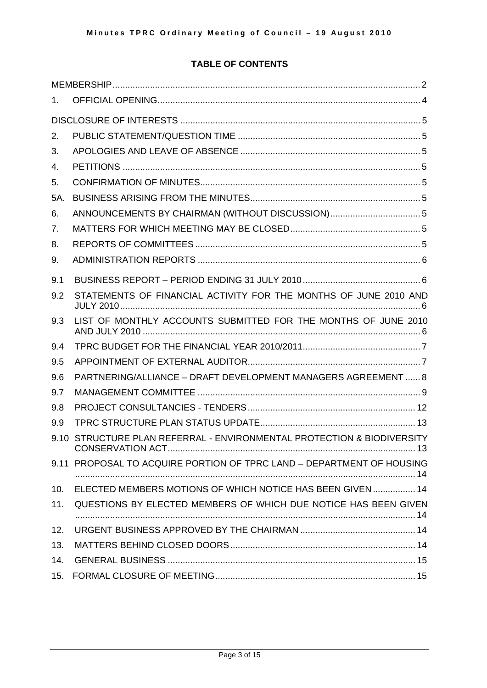#### **TABLE OF CONTENTS**

| 1.   |                                                                   |
|------|-------------------------------------------------------------------|
|      |                                                                   |
| 2.   |                                                                   |
| 3.   |                                                                   |
| 4.   |                                                                   |
| 5.   |                                                                   |
| 5A.  |                                                                   |
| 6.   | ANNOUNCEMENTS BY CHAIRMAN (WITHOUT DISCUSSION) 5                  |
| 7.   |                                                                   |
| 8.   |                                                                   |
| 9.   |                                                                   |
| 9.1  |                                                                   |
| 9.2  | STATEMENTS OF FINANCIAL ACTIVITY FOR THE MONTHS OF JUNE 2010 AND  |
| 9.3  | LIST OF MONTHLY ACCOUNTS SUBMITTED FOR THE MONTHS OF JUNE 2010    |
| 9.4  |                                                                   |
| 9.5  |                                                                   |
| 9.6  | PARTNERING/ALLIANCE - DRAFT DEVELOPMENT MANAGERS AGREEMENT  8     |
| 9.7  |                                                                   |
| 9.8  |                                                                   |
| 9.9  |                                                                   |
| 9.10 | STRUCTURE PLAN REFERRAL - ENVIRONMENTAL PROTECTION & BIODIVERSITY |
| 9.11 | PROPOSAL TO ACQUIRE PORTION OF TPRC LAND - DEPARTMENT OF HOUSING  |
|      |                                                                   |
| 10.  | ELECTED MEMBERS MOTIONS OF WHICH NOTICE HAS BEEN GIVEN  14        |
| 11.  | QUESTIONS BY ELECTED MEMBERS OF WHICH DUE NOTICE HAS BEEN GIVEN   |
| 12.  |                                                                   |
| 13.  |                                                                   |
| 14.  |                                                                   |
| 15.  |                                                                   |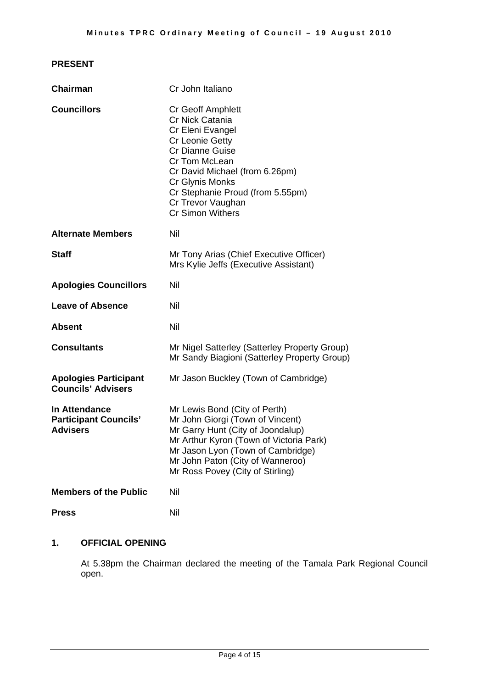#### **PRESENT**

| Chairman                                                                | Cr John Italiano                                                                                                                                                                                                                                                       |
|-------------------------------------------------------------------------|------------------------------------------------------------------------------------------------------------------------------------------------------------------------------------------------------------------------------------------------------------------------|
| <b>Councillors</b>                                                      | <b>Cr Geoff Amphlett</b><br>Cr Nick Catania<br>Cr Eleni Evangel<br>Cr Leonie Getty<br><b>Cr Dianne Guise</b><br>Cr Tom McLean<br>Cr David Michael (from 6.26pm)<br>Cr Glynis Monks<br>Cr Stephanie Proud (from 5.55pm)<br>Cr Trevor Vaughan<br><b>Cr Simon Withers</b> |
| <b>Alternate Members</b>                                                | Nil                                                                                                                                                                                                                                                                    |
| <b>Staff</b>                                                            | Mr Tony Arias (Chief Executive Officer)<br>Mrs Kylie Jeffs (Executive Assistant)                                                                                                                                                                                       |
| <b>Apologies Councillors</b>                                            | Nil                                                                                                                                                                                                                                                                    |
| <b>Leave of Absence</b>                                                 | Nil                                                                                                                                                                                                                                                                    |
| <b>Absent</b>                                                           | Nil                                                                                                                                                                                                                                                                    |
| <b>Consultants</b>                                                      | Mr Nigel Satterley (Satterley Property Group)<br>Mr Sandy Biagioni (Satterley Property Group)                                                                                                                                                                          |
| <b>Apologies Participant</b><br><b>Councils' Advisers</b>               | Mr Jason Buckley (Town of Cambridge)                                                                                                                                                                                                                                   |
| <b>In Attendance</b><br><b>Participant Councils'</b><br><b>Advisers</b> | Mr Lewis Bond (City of Perth)<br>Mr John Giorgi (Town of Vincent)<br>Mr Garry Hunt (City of Joondalup)<br>Mr Arthur Kyron (Town of Victoria Park)<br>Mr Jason Lyon (Town of Cambridge)<br>Mr John Paton (City of Wanneroo)<br>Mr Ross Povey (City of Stirling)         |
| <b>Members of the Public</b>                                            | Nil                                                                                                                                                                                                                                                                    |
| <b>Press</b>                                                            | Nil                                                                                                                                                                                                                                                                    |

#### **1. OFFICIAL OPENING**

At 5.38pm the Chairman declared the meeting of the Tamala Park Regional Council open.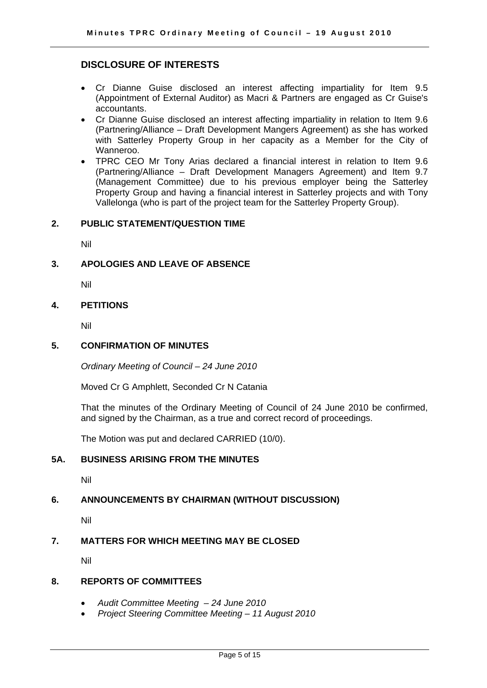#### **DISCLOSURE OF INTERESTS**

- Cr Dianne Guise disclosed an interest affecting impartiality for Item 9.5 (Appointment of External Auditor) as Macri & Partners are engaged as Cr Guise's accountants.
- Cr Dianne Guise disclosed an interest affecting impartiality in relation to Item 9.6 (Partnering/Alliance – Draft Development Mangers Agreement) as she has worked with Satterley Property Group in her capacity as a Member for the City of Wanneroo.
- TPRC CEO Mr Tony Arias declared a financial interest in relation to Item 9.6 (Partnering/Alliance – Draft Development Managers Agreement) and Item 9.7 (Management Committee) due to his previous employer being the Satterley Property Group and having a financial interest in Satterley projects and with Tony Vallelonga (who is part of the project team for the Satterley Property Group).

#### **2. PUBLIC STATEMENT/QUESTION TIME**

Nil

#### **3. APOLOGIES AND LEAVE OF ABSENCE**

Nil

#### **4. PETITIONS**

Nil

#### **5. CONFIRMATION OF MINUTES**

*Ordinary Meeting of Council – 24 June 2010* 

Moved Cr G Amphlett, Seconded Cr N Catania

That the minutes of the Ordinary Meeting of Council of 24 June 2010 be confirmed, and signed by the Chairman, as a true and correct record of proceedings.

The Motion was put and declared CARRIED (10/0).

#### **5A. BUSINESS ARISING FROM THE MINUTES**

Nil

#### **6. ANNOUNCEMENTS BY CHAIRMAN (WITHOUT DISCUSSION)**

Nil

#### **7. MATTERS FOR WHICH MEETING MAY BE CLOSED**

Nil

#### **8. REPORTS OF COMMITTEES**

- *Audit Committee Meeting 24 June 2010*
- *Project Steering Committee Meeting 11 August 2010*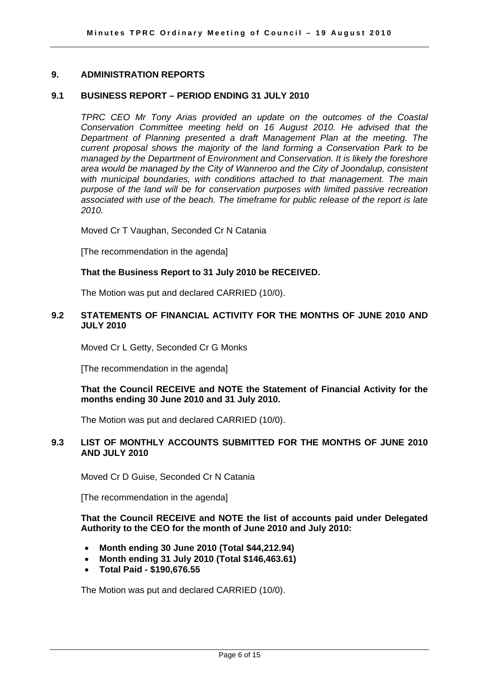#### **9. ADMINISTRATION REPORTS**

#### **9.1 BUSINESS REPORT – PERIOD ENDING 31 JULY 2010**

*TPRC CEO Mr Tony Arias provided an update on the outcomes of the Coastal Conservation Committee meeting held on 16 August 2010. He advised that the Department of Planning presented a draft Management Plan at the meeting. The current proposal shows the majority of the land forming a Conservation Park to be managed by the Department of Environment and Conservation. It is likely the foreshore area would be managed by the City of Wanneroo and the City of Joondalup, consistent with municipal boundaries, with conditions attached to that management. The main purpose of the land will be for conservation purposes with limited passive recreation associated with use of the beach. The timeframe for public release of the report is late 2010.* 

Moved Cr T Vaughan, Seconded Cr N Catania

[The recommendation in the agenda]

#### **That the Business Report to 31 July 2010 be RECEIVED.**

The Motion was put and declared CARRIED (10/0).

#### **9.2 STATEMENTS OF FINANCIAL ACTIVITY FOR THE MONTHS OF JUNE 2010 AND JULY 2010**

Moved Cr L Getty, Seconded Cr G Monks

[The recommendation in the agenda]

#### **That the Council RECEIVE and NOTE the Statement of Financial Activity for the months ending 30 June 2010 and 31 July 2010.**

The Motion was put and declared CARRIED (10/0).

#### **9.3 LIST OF MONTHLY ACCOUNTS SUBMITTED FOR THE MONTHS OF JUNE 2010 AND JULY 2010**

Moved Cr D Guise, Seconded Cr N Catania

[The recommendation in the agenda]

**That the Council RECEIVE and NOTE the list of accounts paid under Delegated Authority to the CEO for the month of June 2010 and July 2010:** 

- **Month ending 30 June 2010 (Total \$44,212.94)**
- **Month ending 31 July 2010 (Total \$146,463.61)**
- **Total Paid \$190,676.55**

The Motion was put and declared CARRIED (10/0).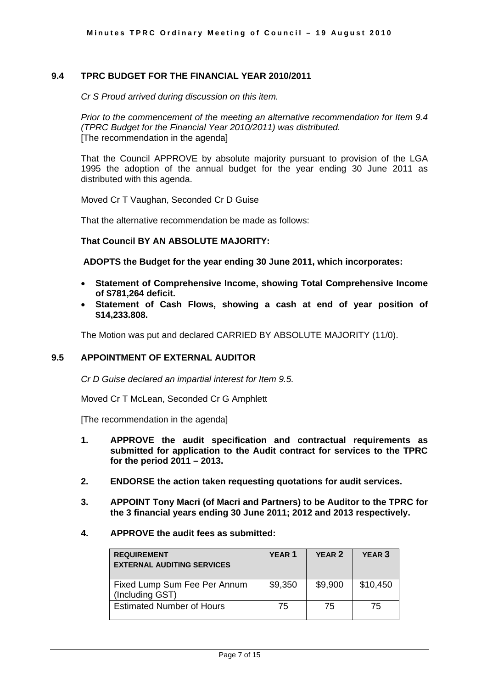#### **9.4 TPRC BUDGET FOR THE FINANCIAL YEAR 2010/2011**

*Cr S Proud arrived during discussion on this item.* 

*Prior to the commencement of the meeting an alternative recommendation for Item 9.4 (TPRC Budget for the Financial Year 2010/2011) was distributed.*  [The recommendation in the agenda]

That the Council APPROVE by absolute majority pursuant to provision of the LGA 1995 the adoption of the annual budget for the year ending 30 June 2011 as distributed with this agenda.

Moved Cr T Vaughan, Seconded Cr D Guise

That the alternative recommendation be made as follows:

#### **That Council BY AN ABSOLUTE MAJORITY:**

 **ADOPTS the Budget for the year ending 30 June 2011, which incorporates:** 

- **Statement of Comprehensive Income, showing Total Comprehensive Income of \$781,264 deficit.**
- **Statement of Cash Flows, showing a cash at end of year position of \$14,233.808.**

The Motion was put and declared CARRIED BY ABSOLUTE MAJORITY (11/0).

#### **9.5 APPOINTMENT OF EXTERNAL AUDITOR**

*Cr D Guise declared an impartial interest for Item 9.5.* 

Moved Cr T McLean, Seconded Cr G Amphlett

[The recommendation in the agenda]

- **1. APPROVE the audit specification and contractual requirements as submitted for application to the Audit contract for services to the TPRC for the period 2011 – 2013.**
- **2. ENDORSE the action taken requesting quotations for audit services.**
- **3. APPOINT Tony Macri (of Macri and Partners) to be Auditor to the TPRC for the 3 financial years ending 30 June 2011; 2012 and 2013 respectively.**
- **4. APPROVE the audit fees as submitted:**

| <b>REQUIREMENT</b><br><b>EXTERNAL AUDITING SERVICES</b> | <b>YEAR 1</b> | YEAR <sub>2</sub> | <b>YEAR 3</b> |
|---------------------------------------------------------|---------------|-------------------|---------------|
| Fixed Lump Sum Fee Per Annum<br>(Including GST)         | \$9,350       | \$9,900           | \$10,450      |
| <b>Estimated Number of Hours</b>                        | 75            | 75                | 75            |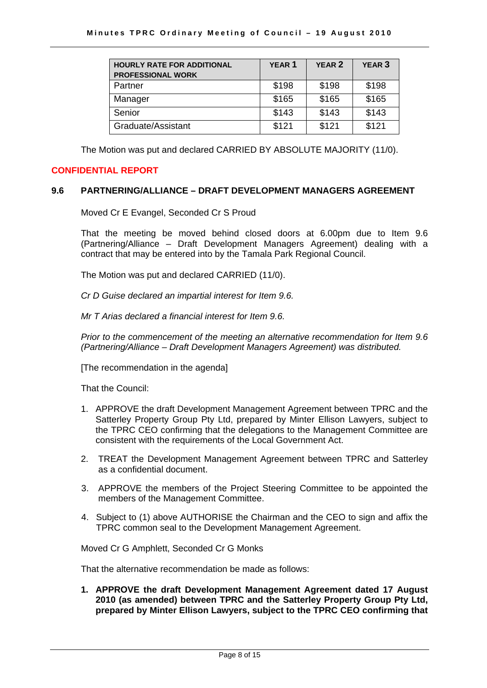| <b>HOURLY RATE FOR ADDITIONAL</b><br><b>PROFESSIONAL WORK</b> | <b>YEAR 1</b> | YEAR <sub>2</sub> | YEAR <sub>3</sub> |
|---------------------------------------------------------------|---------------|-------------------|-------------------|
| Partner                                                       | \$198         | \$198             | \$198             |
| Manager                                                       | \$165         | \$165             | \$165             |
| Senior                                                        | \$143         | \$143             | \$143             |
| Graduate/Assistant                                            | \$121         | \$121             | \$121             |

The Motion was put and declared CARRIED BY ABSOLUTE MAJORITY (11/0).

#### **CONFIDENTIAL REPORT**

#### **9.6 PARTNERING/ALLIANCE – DRAFT DEVELOPMENT MANAGERS AGREEMENT**

Moved Cr E Evangel, Seconded Cr S Proud

That the meeting be moved behind closed doors at 6.00pm due to Item 9.6 (Partnering/Alliance – Draft Development Managers Agreement) dealing with a contract that may be entered into by the Tamala Park Regional Council.

The Motion was put and declared CARRIED (11/0).

*Cr D Guise declared an impartial interest for Item 9.6.* 

 *Mr T Arias declared a financial interest for Item 9.6.* 

*Prior to the commencement of the meeting an alternative recommendation for Item 9.6 (Partnering/Alliance – Draft Development Managers Agreement) was distributed.* 

[The recommendation in the agenda]

That the Council:

- 1. APPROVE the draft Development Management Agreement between TPRC and the Satterley Property Group Pty Ltd, prepared by Minter Ellison Lawyers, subject to the TPRC CEO confirming that the delegations to the Management Committee are consistent with the requirements of the Local Government Act.
- 2. TREAT the Development Management Agreement between TPRC and Satterley as a confidential document.
- 3. APPROVE the members of the Project Steering Committee to be appointed the members of the Management Committee.
- 4. Subject to (1) above AUTHORISE the Chairman and the CEO to sign and affix the TPRC common seal to the Development Management Agreement.

Moved Cr G Amphlett, Seconded Cr G Monks

That the alternative recommendation be made as follows:

**1. APPROVE the draft Development Management Agreement dated 17 August 2010 (as amended) between TPRC and the Satterley Property Group Pty Ltd, prepared by Minter Ellison Lawyers, subject to the TPRC CEO confirming that**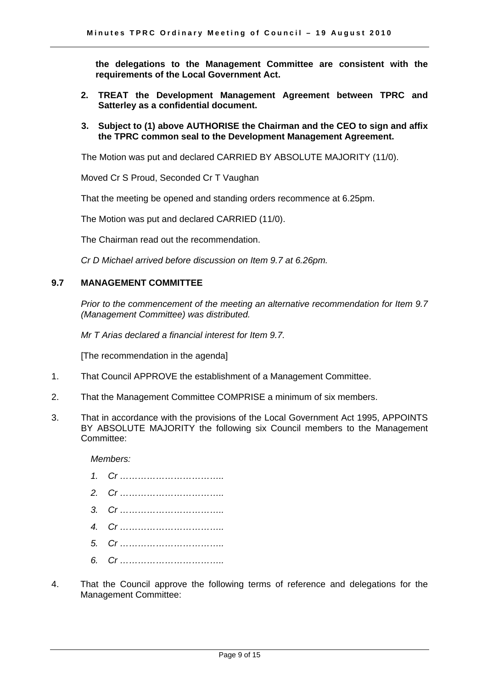**the delegations to the Management Committee are consistent with the requirements of the Local Government Act.** 

- **2. TREAT the Development Management Agreement between TPRC and Satterley as a confidential document.**
- **3. Subject to (1) above AUTHORISE the Chairman and the CEO to sign and affix the TPRC common seal to the Development Management Agreement.**

The Motion was put and declared CARRIED BY ABSOLUTE MAJORITY (11/0).

Moved Cr S Proud, Seconded Cr T Vaughan

That the meeting be opened and standing orders recommence at 6.25pm.

The Motion was put and declared CARRIED (11/0).

The Chairman read out the recommendation.

*Cr D Michael arrived before discussion on Item 9.7 at 6.26pm.* 

#### **9.7 MANAGEMENT COMMITTEE**

*Prior to the commencement of the meeting an alternative recommendation for Item 9.7 (Management Committee) was distributed.* 

 *Mr T Arias declared a financial interest for Item 9.7.* 

[The recommendation in the agenda]

- 1. That Council APPROVE the establishment of a Management Committee.
- 2. That the Management Committee COMPRISE a minimum of six members.
- 3. That in accordance with the provisions of the Local Government Act 1995, APPOINTS BY ABSOLUTE MAJORITY the following six Council members to the Management Committee:

*Members:* 

- *1. Cr ……………………………..*
- *2. Cr ……………………………..*
- *3. Cr ……………………………..*
- *4. Cr ……………………………..*
- *5. Cr ……………………………..*
- *6. Cr ……………………………..*
- 4. That the Council approve the following terms of reference and delegations for the Management Committee: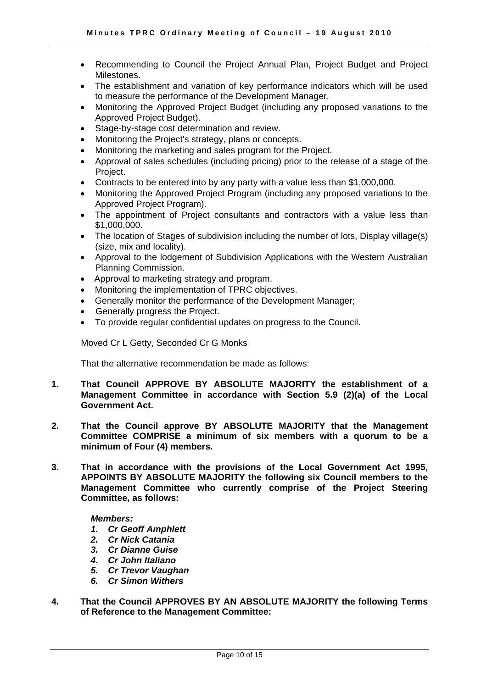- Recommending to Council the Project Annual Plan, Project Budget and Project Milestones.
- The establishment and variation of key performance indicators which will be used to measure the performance of the Development Manager.
- Monitoring the Approved Project Budget (including any proposed variations to the Approved Project Budget).
- Stage-by-stage cost determination and review.
- Monitoring the Project's strategy, plans or concepts.
- Monitoring the marketing and sales program for the Project.
- Approval of sales schedules (including pricing) prior to the release of a stage of the Project.
- Contracts to be entered into by any party with a value less than \$1,000,000.
- Monitoring the Approved Project Program (including any proposed variations to the Approved Project Program).
- The appointment of Project consultants and contractors with a value less than \$1,000,000.
- The location of Stages of subdivision including the number of lots, Display village(s) (size, mix and locality).
- Approval to the lodgement of Subdivision Applications with the Western Australian Planning Commission.
- Approval to marketing strategy and program.
- Monitoring the implementation of TPRC objectives.
- Generally monitor the performance of the Development Manager;
- Generally progress the Project.
- To provide regular confidential updates on progress to the Council.

Moved Cr L Getty, Seconded Cr G Monks

That the alternative recommendation be made as follows:

- **1. That Council APPROVE BY ABSOLUTE MAJORITY the establishment of a Management Committee in accordance with Section 5.9 (2)(a) of the Local Government Act.**
- **2. That the Council approve BY ABSOLUTE MAJORITY that the Management Committee COMPRISE a minimum of six members with a quorum to be a minimum of Four (4) members.**
- **3. That in accordance with the provisions of the Local Government Act 1995, APPOINTS BY ABSOLUTE MAJORITY the following six Council members to the Management Committee who currently comprise of the Project Steering Committee, as follows:**

#### *Members:*

- *1. Cr Geoff Amphlett*
- *2. Cr Nick Catania*
- *3. Cr Dianne Guise*
- *4. Cr John Italiano*
- *5. Cr Trevor Vaughan*
- *6. Cr Simon Withers*
- **4. That the Council APPROVES BY AN ABSOLUTE MAJORITY the following Terms of Reference to the Management Committee:**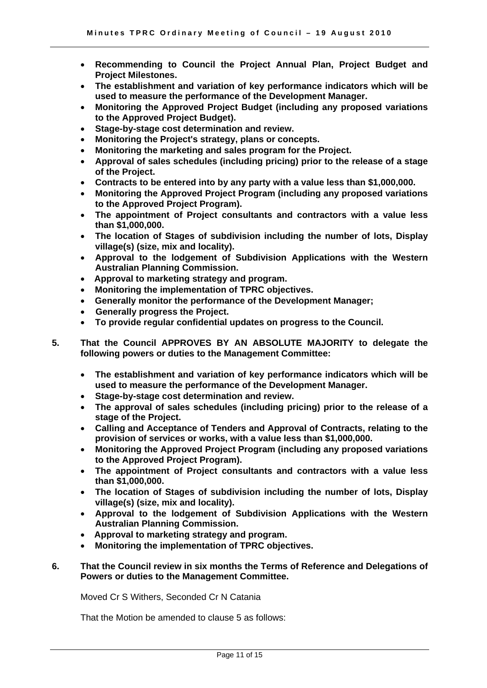- **Recommending to Council the Project Annual Plan, Project Budget and Project Milestones.**
- **The establishment and variation of key performance indicators which will be used to measure the performance of the Development Manager.**
- **Monitoring the Approved Project Budget (including any proposed variations to the Approved Project Budget).**
- **Stage-by-stage cost determination and review.**
- **Monitoring the Project's strategy, plans or concepts.**
- **Monitoring the marketing and sales program for the Project.**
- **Approval of sales schedules (including pricing) prior to the release of a stage of the Project.**
- **Contracts to be entered into by any party with a value less than \$1,000,000.**
- **Monitoring the Approved Project Program (including any proposed variations to the Approved Project Program).**
- **The appointment of Project consultants and contractors with a value less than \$1,000,000.**
- **The location of Stages of subdivision including the number of lots, Display village(s) (size, mix and locality).**
- **Approval to the lodgement of Subdivision Applications with the Western Australian Planning Commission.**
- **Approval to marketing strategy and program.**
- **Monitoring the implementation of TPRC objectives.**
- **Generally monitor the performance of the Development Manager;**
- **Generally progress the Project.**
- **To provide regular confidential updates on progress to the Council.**
- **5. That the Council APPROVES BY AN ABSOLUTE MAJORITY to delegate the following powers or duties to the Management Committee:** 
	- **The establishment and variation of key performance indicators which will be used to measure the performance of the Development Manager.**
	- **Stage-by-stage cost determination and review.**
	- **The approval of sales schedules (including pricing) prior to the release of a stage of the Project.**
	- **Calling and Acceptance of Tenders and Approval of Contracts, relating to the provision of services or works, with a value less than \$1,000,000.**
	- **Monitoring the Approved Project Program (including any proposed variations to the Approved Project Program).**
	- **The appointment of Project consultants and contractors with a value less than \$1,000,000.**
	- **The location of Stages of subdivision including the number of lots, Display village(s) (size, mix and locality).**
	- **Approval to the lodgement of Subdivision Applications with the Western Australian Planning Commission.**
	- **Approval to marketing strategy and program.**
	- **Monitoring the implementation of TPRC objectives.**
- **6. That the Council review in six months the Terms of Reference and Delegations of Powers or duties to the Management Committee.**

Moved Cr S Withers, Seconded Cr N Catania

That the Motion be amended to clause 5 as follows: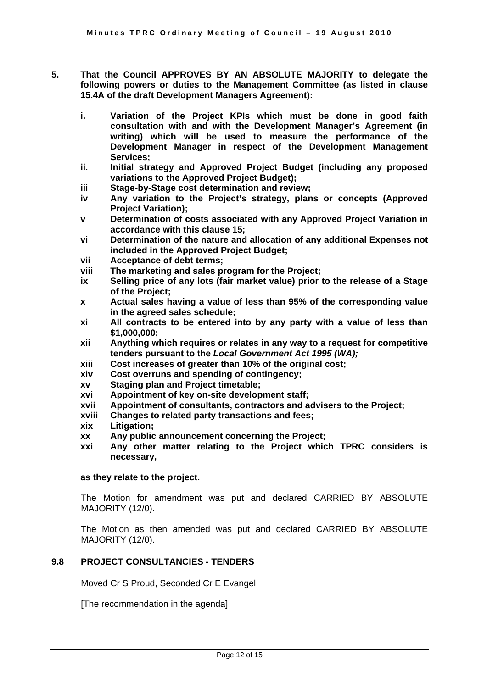- **5. That the Council APPROVES BY AN ABSOLUTE MAJORITY to delegate the following powers or duties to the Management Committee (as listed in clause 15.4A of the draft Development Managers Agreement):** 
	- **i. Variation of the Project KPIs which must be done in good faith consultation with and with the Development Manager's Agreement (in writing) which will be used to measure the performance of the Development Manager in respect of the Development Management Services;**
	- **ii. Initial strategy and Approved Project Budget (including any proposed variations to the Approved Project Budget);**
	- **iii Stage-by-Stage cost determination and review;**
	- **iv Any variation to the Project's strategy, plans or concepts (Approved Project Variation);**
	- **v Determination of costs associated with any Approved Project Variation in accordance with this clause 15;**
	- **vi Determination of the nature and allocation of any additional Expenses not included in the Approved Project Budget;**
	- **vii Acceptance of debt terms;**
	- **viii The marketing and sales program for the Project;**
	- **ix Selling price of any lots (fair market value) prior to the release of a Stage of the Project;**
	- **x Actual sales having a value of less than 95% of the corresponding value in the agreed sales schedule;**
	- **xi All contracts to be entered into by any party with a value of less than \$1,000,000;**
	- **xii Anything which requires or relates in any way to a request for competitive tenders pursuant to the** *Local Government Act 1995 (WA);*
	- **xiii Cost increases of greater than 10% of the original cost;**
	- **xiv Cost overruns and spending of contingency;**
	- **xv Staging plan and Project timetable;**
	- **xvi Appointment of key on-site development staff;**
	- **xvii Appointment of consultants, contractors and advisers to the Project;**
	- **xviii Changes to related party transactions and fees;**
	- **xix Litigation;**
	- **xx Any public announcement concerning the Project;**
	- **xxi Any other matter relating to the Project which TPRC considers is necessary,**

#### **as they relate to the project.**

The Motion for amendment was put and declared CARRIED BY ABSOLUTE MAJORITY (12/0).

The Motion as then amended was put and declared CARRIED BY ABSOLUTE MAJORITY (12/0).

#### **9.8 PROJECT CONSULTANCIES - TENDERS**

Moved Cr S Proud, Seconded Cr E Evangel

[The recommendation in the agenda]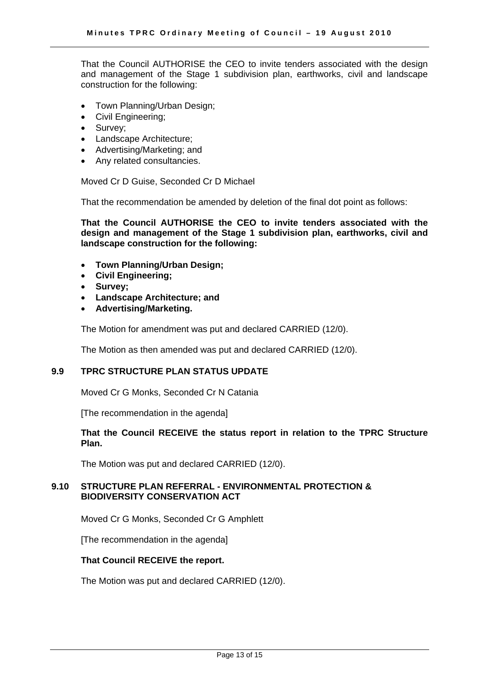That the Council AUTHORISE the CEO to invite tenders associated with the design and management of the Stage 1 subdivision plan, earthworks, civil and landscape construction for the following:

- Town Planning/Urban Design;
- Civil Engineering;
- Survey;
- Landscape Architecture;
- Advertising/Marketing; and
- Any related consultancies.

Moved Cr D Guise, Seconded Cr D Michael

That the recommendation be amended by deletion of the final dot point as follows:

**That the Council AUTHORISE the CEO to invite tenders associated with the design and management of the Stage 1 subdivision plan, earthworks, civil and landscape construction for the following:** 

- **Town Planning/Urban Design;**
- **Civil Engineering;**
- **Survey;**
- **Landscape Architecture; and**
- **Advertising/Marketing.**

The Motion for amendment was put and declared CARRIED (12/0).

The Motion as then amended was put and declared CARRIED (12/0).

#### **9.9 TPRC STRUCTURE PLAN STATUS UPDATE**

Moved Cr G Monks, Seconded Cr N Catania

[The recommendation in the agenda]

#### **That the Council RECEIVE the status report in relation to the TPRC Structure Plan.**

The Motion was put and declared CARRIED (12/0).

#### **9.10 STRUCTURE PLAN REFERRAL - ENVIRONMENTAL PROTECTION & BIODIVERSITY CONSERVATION ACT**

Moved Cr G Monks, Seconded Cr G Amphlett

[The recommendation in the agenda]

#### **That Council RECEIVE the report.**

The Motion was put and declared CARRIED (12/0).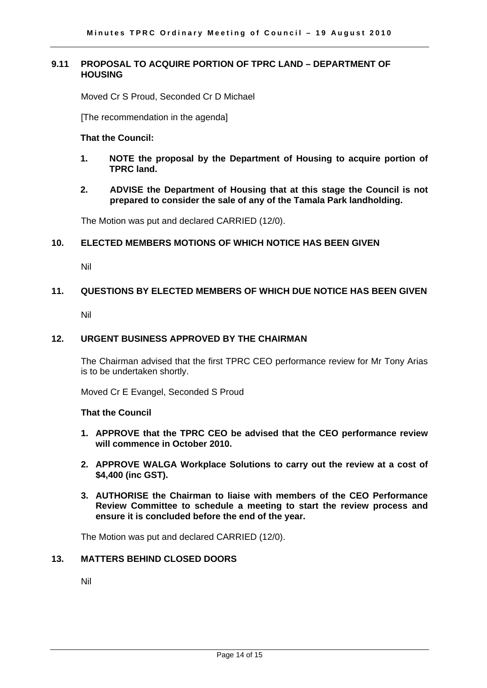#### **9.11 PROPOSAL TO ACQUIRE PORTION OF TPRC LAND – DEPARTMENT OF HOUSING**

Moved Cr S Proud, Seconded Cr D Michael

[The recommendation in the agenda]

#### **That the Council:**

- **1. NOTE the proposal by the Department of Housing to acquire portion of TPRC land.**
- **2. ADVISE the Department of Housing that at this stage the Council is not prepared to consider the sale of any of the Tamala Park landholding.**

The Motion was put and declared CARRIED (12/0).

#### **10. ELECTED MEMBERS MOTIONS OF WHICH NOTICE HAS BEEN GIVEN**

Nil

#### **11. QUESTIONS BY ELECTED MEMBERS OF WHICH DUE NOTICE HAS BEEN GIVEN**

Nil

#### **12. URGENT BUSINESS APPROVED BY THE CHAIRMAN**

The Chairman advised that the first TPRC CEO performance review for Mr Tony Arias is to be undertaken shortly.

Moved Cr E Evangel, Seconded S Proud

#### **That the Council**

- **1. APPROVE that the TPRC CEO be advised that the CEO performance review will commence in October 2010.**
- **2. APPROVE WALGA Workplace Solutions to carry out the review at a cost of \$4,400 (inc GST).**
- **3. AUTHORISE the Chairman to liaise with members of the CEO Performance Review Committee to schedule a meeting to start the review process and ensure it is concluded before the end of the year.**

The Motion was put and declared CARRIED (12/0).

#### **13. MATTERS BEHIND CLOSED DOORS**

Nil